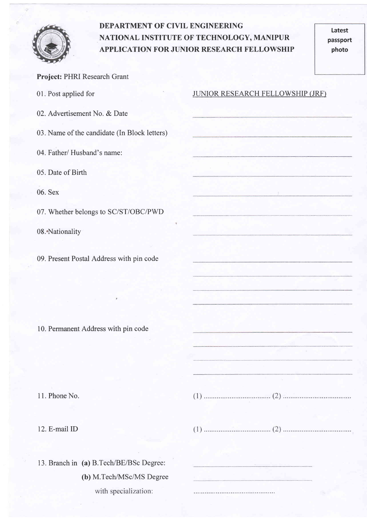

## DEPARTMENT OF CIVIL ENGINEERING NATIONAL INSTITUTE OF TECHNOLOGY, MANIPUR

Latest passport photo

|                                              | <b>APPLICATION FOR JUNIOR RESEARCH FELLOWSHIP</b><br>photo |
|----------------------------------------------|------------------------------------------------------------|
| Project: PHRI Research Grant                 |                                                            |
| 01. Post applied for                         | <b>JUNIOR RESEARCH FELLOWSHIP (JRF)</b>                    |
| 02. Advertisement No. & Date                 |                                                            |
| 03. Name of the candidate (In Block letters) |                                                            |
| 04. Father/ Husband's name:                  |                                                            |
| 05. Date of Birth                            |                                                            |
| 06. Sex                                      |                                                            |
| 07. Whether belongs to SC/ST/OBC/PWD         |                                                            |
| 08. Nationality                              |                                                            |
| 09. Present Postal Address with pin code     |                                                            |
|                                              |                                                            |
|                                              |                                                            |
| 10. Permanent Address with pin code          |                                                            |

<sup>1</sup>1. Phone No.

12. E-mail ID

13. Branch in (a) B.Tech/BE/BSc Degree: (b) M.Tech/MSc/MS Degreewith specialization: